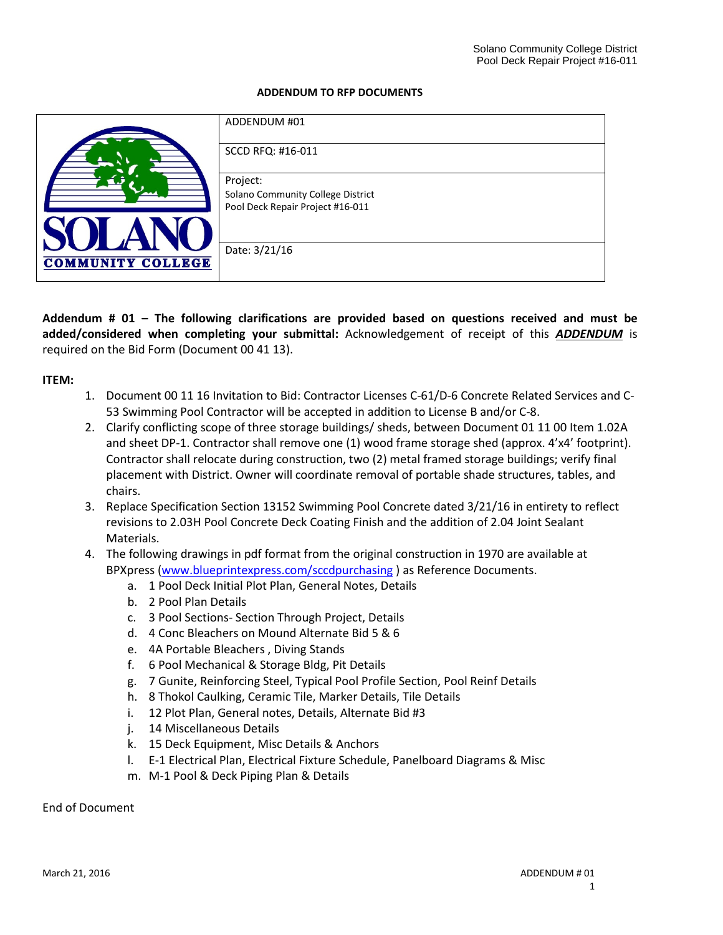#### **ADDENDUM TO RFP DOCUMENTS**

|                          | ADDENDUM #01                                  |
|--------------------------|-----------------------------------------------|
|                          | SCCD RFQ: #16-011                             |
|                          | Project:<br>Solano Community College District |
|                          | Pool Deck Repair Project #16-011              |
| <b>COMMUNITY COLLEGE</b> | Date: 3/21/16                                 |

**Addendum # 01 – The following clarifications are provided based on questions received and must be added/considered when completing your submittal:** Acknowledgement of receipt of this *ADDENDUM* is required on the Bid Form (Document 00 41 13).

#### **ITEM:**

- 1. Document 00 11 16 Invitation to Bid: Contractor Licenses C-61/D-6 Concrete Related Services and C-53 Swimming Pool Contractor will be accepted in addition to License B and/or C-8.
- 2. Clarify conflicting scope of three storage buildings/ sheds, between Document 01 11 00 Item 1.02A and sheet DP-1. Contractor shall remove one (1) wood frame storage shed (approx. 4'x4' footprint). Contractor shall relocate during construction, two (2) metal framed storage buildings; verify final placement with District. Owner will coordinate removal of portable shade structures, tables, and chairs.
- 3. Replace Specification Section 13152 Swimming Pool Concrete dated 3/21/16 in entirety to reflect revisions to 2.03H Pool Concrete Deck Coating Finish and the addition of 2.04 Joint Sealant Materials.
- 4. The following drawings in pdf format from the original construction in 1970 are available at BPXpress [\(www.blueprintexpress.com/sccdpurchasing](http://www.blueprintexpress.com/sccdpurchasing) ) as Reference Documents.
	- a. 1 Pool Deck Initial Plot Plan, General Notes, Details
	- b. 2 Pool Plan Details
	- c. 3 Pool Sections- Section Through Project, Details
	- d. 4 Conc Bleachers on Mound Alternate Bid 5 & 6
	- e. 4A Portable Bleachers , Diving Stands
	- f. 6 Pool Mechanical & Storage Bldg, Pit Details
	- g. 7 Gunite, Reinforcing Steel, Typical Pool Profile Section, Pool Reinf Details
	- h. 8 Thokol Caulking, Ceramic Tile, Marker Details, Tile Details
	- i. 12 Plot Plan, General notes, Details, Alternate Bid #3
	- j. 14 Miscellaneous Details
	- k. 15 Deck Equipment, Misc Details & Anchors
	- l. E-1 Electrical Plan, Electrical Fixture Schedule, Panelboard Diagrams & Misc
	- m. M-1 Pool & Deck Piping Plan & Details

End of Document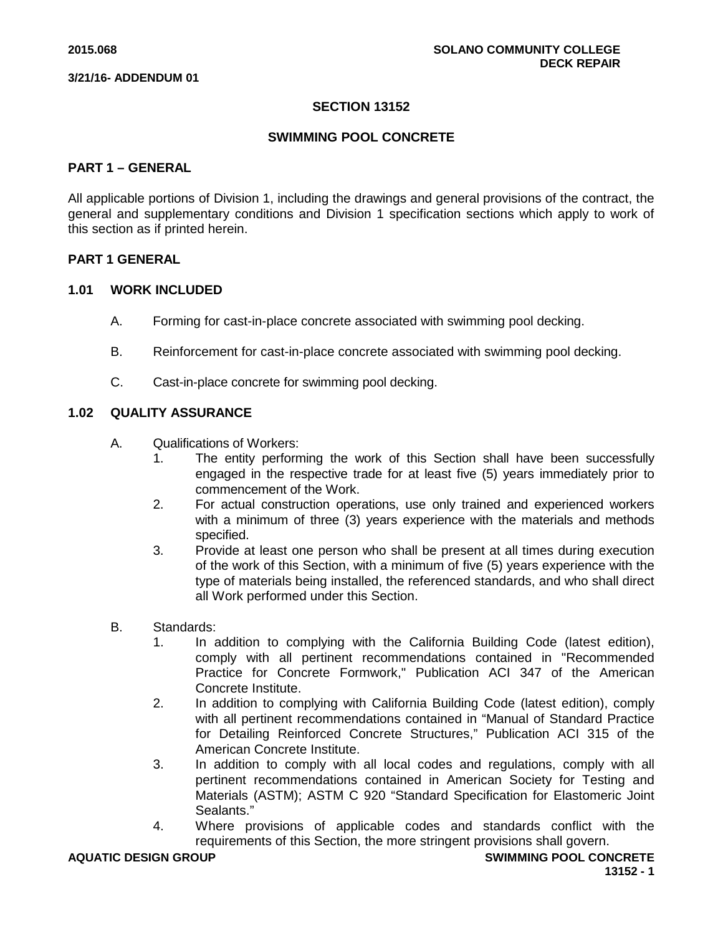# **SECTION 13152**

## **SWIMMING POOL CONCRETE**

## **PART 1 – GENERAL**

All applicable portions of Division 1, including the drawings and general provisions of the contract, the general and supplementary conditions and Division 1 specification sections which apply to work of this section as if printed herein.

### **PART 1 GENERAL**

### **1.01 WORK INCLUDED**

- A. Forming for cast-in-place concrete associated with swimming pool decking.
- B. Reinforcement for cast-in-place concrete associated with swimming pool decking.
- C. Cast-in-place concrete for swimming pool decking.

# **1.02 QUALITY ASSURANCE**

- A. Qualifications of Workers:
	- 1. The entity performing the work of this Section shall have been successfully engaged in the respective trade for at least five (5) years immediately prior to commencement of the Work.
	- 2. For actual construction operations, use only trained and experienced workers with a minimum of three (3) years experience with the materials and methods specified.
	- 3. Provide at least one person who shall be present at all times during execution of the work of this Section, with a minimum of five (5) years experience with the type of materials being installed, the referenced standards, and who shall direct all Work performed under this Section.
- B. Standards:
	- 1. In addition to complying with the California Building Code (latest edition), comply with all pertinent recommendations contained in "Recommended Practice for Concrete Formwork," Publication ACI 347 of the American Concrete Institute.
	- 2. In addition to complying with California Building Code (latest edition), comply with all pertinent recommendations contained in "Manual of Standard Practice for Detailing Reinforced Concrete Structures," Publication ACI 315 of the American Concrete Institute.
	- 3. In addition to comply with all local codes and regulations, comply with all pertinent recommendations contained in American Society for Testing and Materials (ASTM); ASTM C 920 "Standard Specification for Elastomeric Joint Sealants."
	- 4. Where provisions of applicable codes and standards conflict with the requirements of this Section, the more stringent provisions shall govern.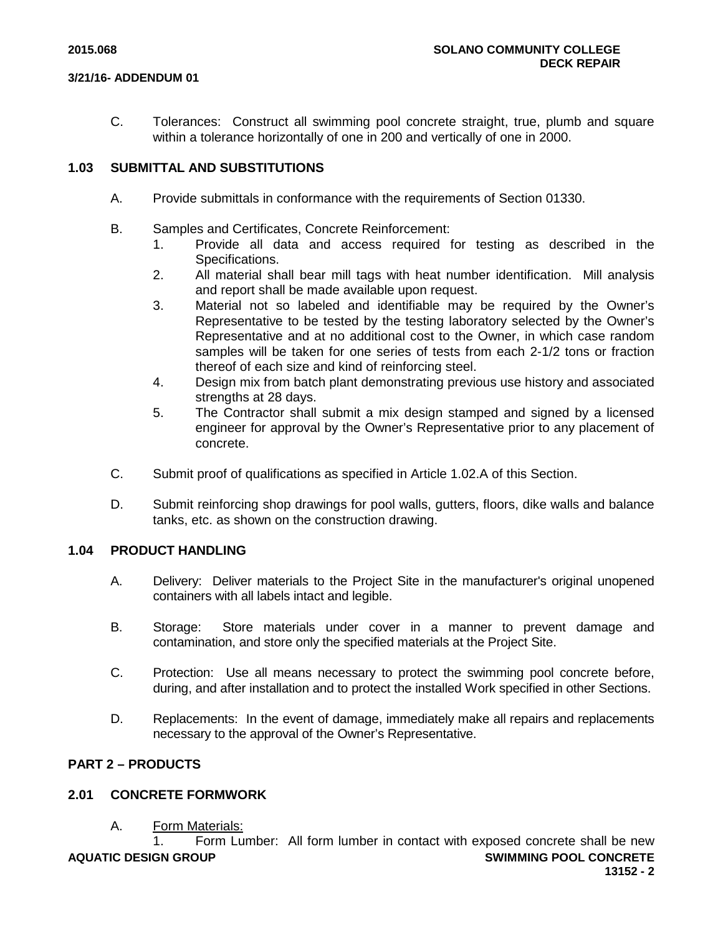C. Tolerances: Construct all swimming pool concrete straight, true, plumb and square within a tolerance horizontally of one in 200 and vertically of one in 2000.

## **1.03 SUBMITTAL AND SUBSTITUTIONS**

- A. Provide submittals in conformance with the requirements of Section 01330.
- B. Samples and Certificates, Concrete Reinforcement:
	- 1. Provide all data and access required for testing as described in the Specifications.
	- 2. All material shall bear mill tags with heat number identification. Mill analysis and report shall be made available upon request.
	- 3. Material not so labeled and identifiable may be required by the Owner's Representative to be tested by the testing laboratory selected by the Owner's Representative and at no additional cost to the Owner, in which case random samples will be taken for one series of tests from each 2-1/2 tons or fraction thereof of each size and kind of reinforcing steel.
	- 4. Design mix from batch plant demonstrating previous use history and associated strengths at 28 days.
	- 5. The Contractor shall submit a mix design stamped and signed by a licensed engineer for approval by the Owner's Representative prior to any placement of concrete.
- C. Submit proof of qualifications as specified in Article 1.02.A of this Section.
- D. Submit reinforcing shop drawings for pool walls, gutters, floors, dike walls and balance tanks, etc. as shown on the construction drawing.

## **1.04 PRODUCT HANDLING**

- A. Delivery: Deliver materials to the Project Site in the manufacturer's original unopened containers with all labels intact and legible.
- B. Storage: Store materials under cover in a manner to prevent damage and contamination, and store only the specified materials at the Project Site.
- C. Protection: Use all means necessary to protect the swimming pool concrete before, during, and after installation and to protect the installed Work specified in other Sections.
- D. Replacements: In the event of damage, immediately make all repairs and replacements necessary to the approval of the Owner's Representative.

## **PART 2 – PRODUCTS**

## **2.01 CONCRETE FORMWORK**

A. Form Materials:

**AQUATIC DESIGN GROUP SWIMMING POOL CONCRETE** 1. Form Lumber: All form lumber in contact with exposed concrete shall be new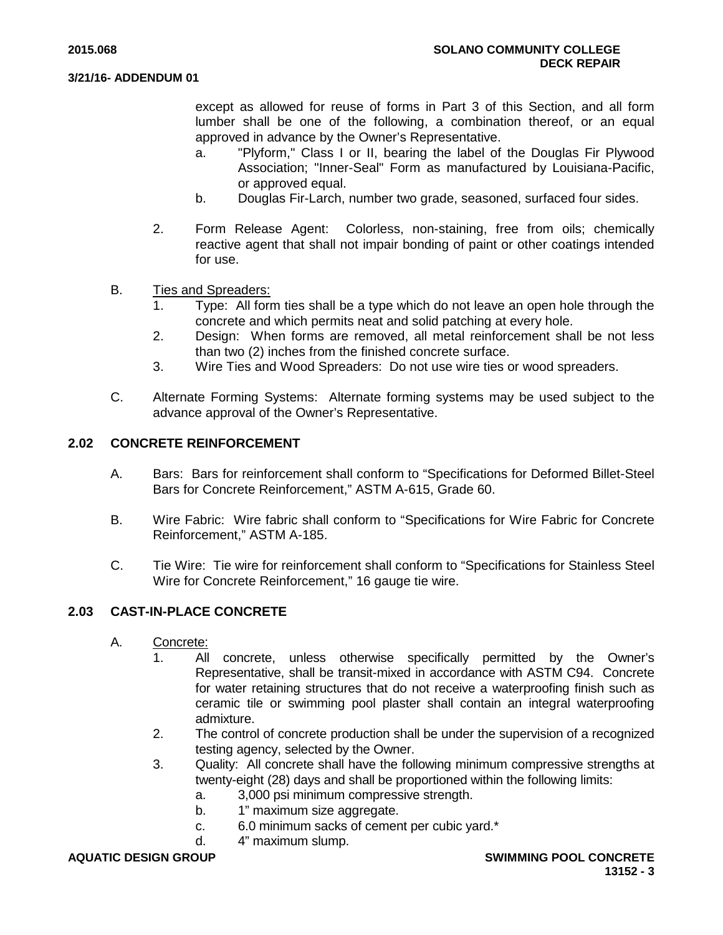except as allowed for reuse of forms in Part 3 of this Section, and all form lumber shall be one of the following, a combination thereof, or an equal approved in advance by the Owner's Representative.

- a. "Plyform," Class I or II, bearing the label of the Douglas Fir Plywood Association; "Inner-Seal" Form as manufactured by Louisiana-Pacific, or approved equal.
- b. Douglas Fir-Larch, number two grade, seasoned, surfaced four sides.
- 2. Form Release Agent: Colorless, non-staining, free from oils; chemically reactive agent that shall not impair bonding of paint or other coatings intended for use.
- B. Ties and Spreaders:
	- 1. Type: All form ties shall be a type which do not leave an open hole through the concrete and which permits neat and solid patching at every hole.
	- 2. Design: When forms are removed, all metal reinforcement shall be not less than two (2) inches from the finished concrete surface.
	- 3. Wire Ties and Wood Spreaders: Do not use wire ties or wood spreaders.
- C. Alternate Forming Systems: Alternate forming systems may be used subject to the advance approval of the Owner's Representative.

## **2.02 CONCRETE REINFORCEMENT**

- A. Bars: Bars for reinforcement shall conform to "Specifications for Deformed Billet-Steel Bars for Concrete Reinforcement," ASTM A-615, Grade 60.
- B. Wire Fabric: Wire fabric shall conform to "Specifications for Wire Fabric for Concrete Reinforcement," ASTM A-185.
- C. Tie Wire: Tie wire for reinforcement shall conform to "Specifications for Stainless Steel Wire for Concrete Reinforcement," 16 gauge tie wire.

## **2.03 CAST-IN-PLACE CONCRETE**

- A. Concrete:
	- 1. All concrete, unless otherwise specifically permitted by the Owner's Representative, shall be transit-mixed in accordance with ASTM C94. Concrete for water retaining structures that do not receive a waterproofing finish such as ceramic tile or swimming pool plaster shall contain an integral waterproofing admixture.
	- 2. The control of concrete production shall be under the supervision of a recognized testing agency, selected by the Owner.
	- 3. Quality: All concrete shall have the following minimum compressive strengths at twenty-eight (28) days and shall be proportioned within the following limits:
		- a. 3,000 psi minimum compressive strength.
		- b. 1" maximum size aggregate.
		- c. 6.0 minimum sacks of cement per cubic yard.\*
		- d. 4" maximum slump.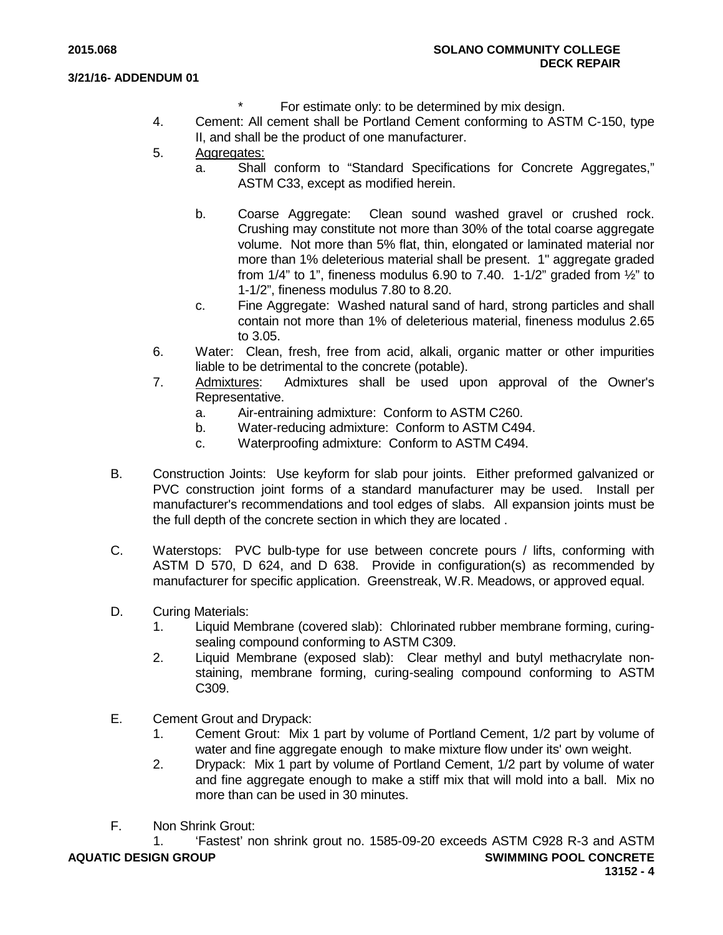- For estimate only: to be determined by mix design.
- 4. Cement: All cement shall be Portland Cement conforming to ASTM C-150, type II, and shall be the product of one manufacturer.
- 5. Aggregates:
	- a. Shall conform to "Standard Specifications for Concrete Aggregates," ASTM C33, except as modified herein.
	- b. Coarse Aggregate: Clean sound washed gravel or crushed rock. Crushing may constitute not more than 30% of the total coarse aggregate volume. Not more than 5% flat, thin, elongated or laminated material nor more than 1% deleterious material shall be present. 1" aggregate graded from  $1/4$ " to 1", fineness modulus 6.90 to 7.40. 1-1/2" graded from  $\frac{1}{2}$ " to 1-1/2", fineness modulus 7.80 to 8.20.
	- c. Fine Aggregate: Washed natural sand of hard, strong particles and shall contain not more than 1% of deleterious material, fineness modulus 2.65 to 3.05.
- 6. Water: Clean, fresh, free from acid, alkali, organic matter or other impurities liable to be detrimental to the concrete (potable).
- 7. Admixtures: Admixtures shall be used upon approval of the Owner's Representative.
	- a. Air-entraining admixture: Conform to ASTM C260.
	- b. Water-reducing admixture: Conform to ASTM C494.
	- c. Waterproofing admixture: Conform to ASTM C494.
- B. Construction Joints: Use keyform for slab pour joints. Either preformed galvanized or PVC construction joint forms of a standard manufacturer may be used. Install per manufacturer's recommendations and tool edges of slabs. All expansion joints must be the full depth of the concrete section in which they are located .
- C. Waterstops: PVC bulb-type for use between concrete pours / lifts, conforming with ASTM D 570, D 624, and D 638. Provide in configuration(s) as recommended by manufacturer for specific application. Greenstreak, W.R. Meadows, or approved equal.
- D. Curing Materials:
	- 1. Liquid Membrane (covered slab): Chlorinated rubber membrane forming, curingsealing compound conforming to ASTM C309.
	- 2. Liquid Membrane (exposed slab): Clear methyl and butyl methacrylate nonstaining, membrane forming, curing-sealing compound conforming to ASTM C309.
- E. Cement Grout and Drypack:
	- 1. Cement Grout: Mix 1 part by volume of Portland Cement, 1/2 part by volume of water and fine aggregate enough to make mixture flow under its' own weight.
	- 2. Drypack: Mix 1 part by volume of Portland Cement, 1/2 part by volume of water and fine aggregate enough to make a stiff mix that will mold into a ball. Mix no more than can be used in 30 minutes.
- F. Non Shrink Grout:

**AQUATIC DESIGN GROUP SWIMMING POOL CONCRETE** 1. 'Fastest' non shrink grout no. 1585-09-20 exceeds ASTM C928 R-3 and ASTM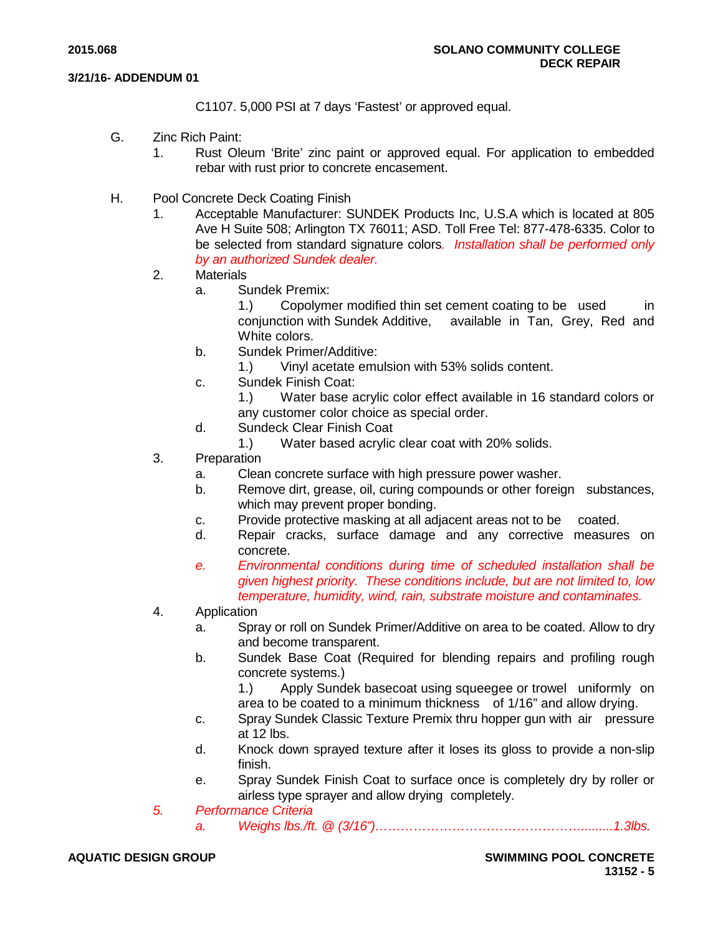C1107. 5,000 PSI at 7 days 'Fastest' or approved equal.

- G. Zinc Rich Paint:
	- 1. Rust Oleum 'Brite' zinc paint or approved equal. For application to embedded rebar with rust prior to concrete encasement.
- H. Pool Concrete Deck Coating Finish
	- 1. Acceptable Manufacturer: SUNDEK Products Inc, U.S.A which is located at 805 Ave H Suite 508; Arlington TX 76011; ASD. Toll Free Tel: 877-478-6335. Color to be selected from standard signature colors*. Installation shall be performed only by an authorized Sundek dealer.*
	- 2. Materials
		- a. Sundek Premix:
			- 1.) Copolymer modified thin set cement coating to be used in conjunction with Sundek Additive, available in Tan, Grey, Red and White colors.
		- b. Sundek Primer/Additive:
			- 1.) Vinyl acetate emulsion with 53% solids content.
		- c. Sundek Finish Coat:
			- 1.) Water base acrylic color effect available in 16 standard colors or any customer color choice as special order.
		- d. Sundeck Clear Finish Coat
		- 1.) Water based acrylic clear coat with 20% solids.
	- 3. Preparation
		- a. Clean concrete surface with high pressure power washer.
		- b. Remove dirt, grease, oil, curing compounds or other foreign substances, which may prevent proper bonding.
		- c. Provide protective masking at all adjacent areas not to be coated.
		- d. Repair cracks, surface damage and any corrective measures on concrete.
		- *e. Environmental conditions during time of scheduled installation shall be given highest priority. These conditions include, but are not limited to, low temperature, humidity, wind, rain, substrate moisture and contaminates.*
	- 4. Application
		- a. Spray or roll on Sundek Primer/Additive on area to be coated. Allow to dry and become transparent.
		- b. Sundek Base Coat (Required for blending repairs and profiling rough concrete systems.)
			- 1.) Apply Sundek basecoat using squeegee or trowel uniformly on area to be coated to a minimum thickness of 1/16" and allow drying.
		- c. Spray Sundek Classic Texture Premix thru hopper gun with air pressure at 12 lbs.
		- d. Knock down sprayed texture after it loses its gloss to provide a non-slip finish.
		- e. Spray Sundek Finish Coat to surface once is completely dry by roller or airless type sprayer and allow drying completely.
	- *5. Performance Criteria*
		- *a. Weighs lbs./ft. @ (3/16")………………………………………….........1.3lbs.*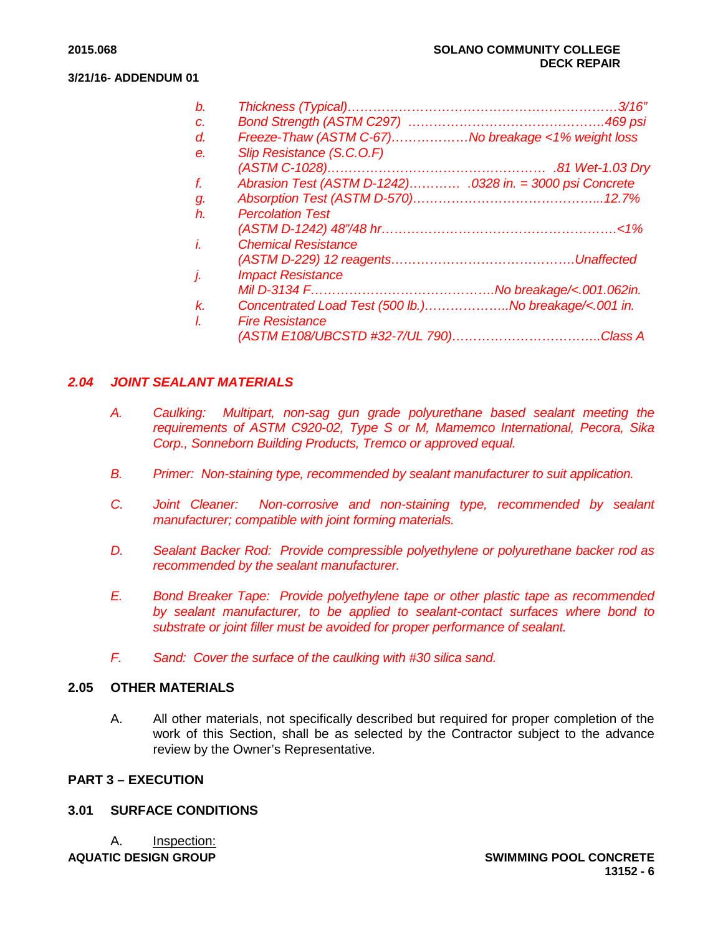| b.    |                                                       |  |
|-------|-------------------------------------------------------|--|
| C.    |                                                       |  |
| d.    | Freeze-Thaw (ASTM C-67)No breakage <1% weight loss    |  |
| е.    | Slip Resistance (S.C.O.F)                             |  |
|       |                                                       |  |
| f.    |                                                       |  |
| g.    |                                                       |  |
| $h$ . | <b>Percolation Test</b>                               |  |
|       |                                                       |  |
| i.    | <b>Chemical Resistance</b>                            |  |
|       |                                                       |  |
| j.    | <b>Impact Resistance</b>                              |  |
|       |                                                       |  |
| k.    | Concentrated Load Test (500 lb.)No breakage/<.001 in. |  |
| L     | <b>Fire Resistance</b>                                |  |
|       |                                                       |  |

# *2.04 JOINT SEALANT MATERIALS*

- *A. Caulking: Multipart, non-sag gun grade polyurethane based sealant meeting the requirements of ASTM C920-02, Type S or M, Mamemco International, Pecora, Sika Corp., Sonneborn Building Products, Tremco or approved equal.*
- *B. Primer: Non-staining type, recommended by sealant manufacturer to suit application.*
- *C. Joint Cleaner: Non-corrosive and non-staining type, recommended by sealant manufacturer; compatible with joint forming materials.*
- *D. Sealant Backer Rod: Provide compressible polyethylene or polyurethane backer rod as recommended by the sealant manufacturer.*
- *E. Bond Breaker Tape: Provide polyethylene tape or other plastic tape as recommended by sealant manufacturer, to be applied to sealant-contact surfaces where bond to substrate or joint filler must be avoided for proper performance of sealant.*
- *F. Sand: Cover the surface of the caulking with #30 silica sand.*

## **2.05 OTHER MATERIALS**

A. All other materials, not specifically described but required for proper completion of the work of this Section, shall be as selected by the Contractor subject to the advance review by the Owner's Representative.

# **PART 3 – EXECUTION**

# **3.01 SURFACE CONDITIONS**

**AQUATIC DESIGN GROUP SWIMMING POOL CONCRETE** A. Inspection: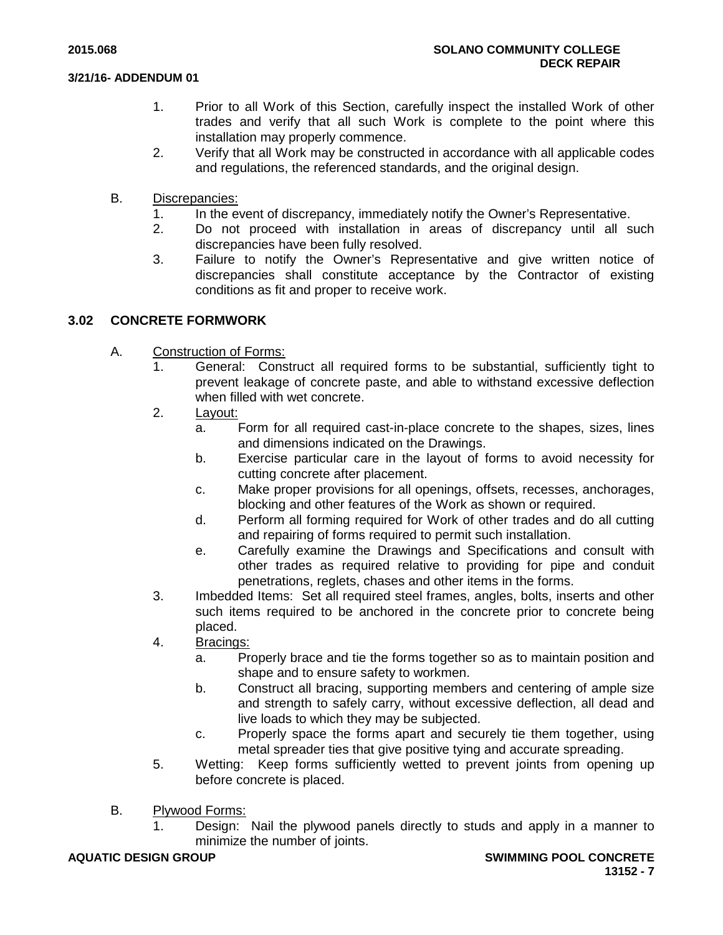- 1. Prior to all Work of this Section, carefully inspect the installed Work of other trades and verify that all such Work is complete to the point where this installation may properly commence.
- 2. Verify that all Work may be constructed in accordance with all applicable codes and regulations, the referenced standards, and the original design.
- B. Discrepancies:
	- 1. In the event of discrepancy, immediately notify the Owner's Representative.
	- 2. Do not proceed with installation in areas of discrepancy until all such discrepancies have been fully resolved.
	- 3. Failure to notify the Owner's Representative and give written notice of discrepancies shall constitute acceptance by the Contractor of existing conditions as fit and proper to receive work.

# **3.02 CONCRETE FORMWORK**

- A. Construction of Forms:<br>1. General: Cons
	- 1. General: Construct all required forms to be substantial, sufficiently tight to prevent leakage of concrete paste, and able to withstand excessive deflection when filled with wet concrete.
	- 2. Layout:
		- a. Form for all required cast-in-place concrete to the shapes, sizes, lines and dimensions indicated on the Drawings.
		- b. Exercise particular care in the layout of forms to avoid necessity for cutting concrete after placement.
		- c. Make proper provisions for all openings, offsets, recesses, anchorages, blocking and other features of the Work as shown or required.
		- d. Perform all forming required for Work of other trades and do all cutting and repairing of forms required to permit such installation.
		- e. Carefully examine the Drawings and Specifications and consult with other trades as required relative to providing for pipe and conduit penetrations, reglets, chases and other items in the forms.
	- 3. Imbedded Items: Set all required steel frames, angles, bolts, inserts and other such items required to be anchored in the concrete prior to concrete being placed.
	- 4. Bracings:
		- a. Properly brace and tie the forms together so as to maintain position and shape and to ensure safety to workmen.
		- b. Construct all bracing, supporting members and centering of ample size and strength to safely carry, without excessive deflection, all dead and live loads to which they may be subjected.
		- c. Properly space the forms apart and securely tie them together, using metal spreader ties that give positive tying and accurate spreading.
	- 5. Wetting: Keep forms sufficiently wetted to prevent joints from opening up before concrete is placed.
- B. Plywood Forms:
	- 1. Design: Nail the plywood panels directly to studs and apply in a manner to minimize the number of joints.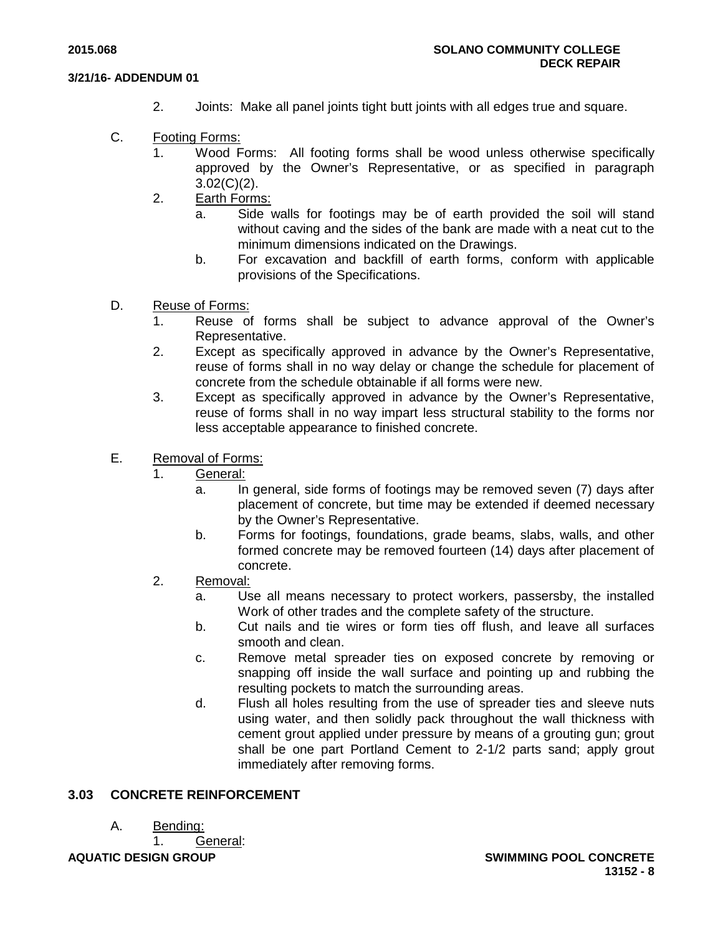- 2. Joints: Make all panel joints tight butt joints with all edges true and square.
- C. Footing Forms:
	- 1. Wood Forms: All footing forms shall be wood unless otherwise specifically approved by the Owner's Representative, or as specified in paragraph 3.02(C)(2).
	- 2. Earth Forms:
		- a. Side walls for footings may be of earth provided the soil will stand without caving and the sides of the bank are made with a neat cut to the minimum dimensions indicated on the Drawings.
		- b. For excavation and backfill of earth forms, conform with applicable provisions of the Specifications.
- D. Reuse of Forms:
	- 1. Reuse of forms shall be subject to advance approval of the Owner's Representative.
	- 2. Except as specifically approved in advance by the Owner's Representative, reuse of forms shall in no way delay or change the schedule for placement of concrete from the schedule obtainable if all forms were new.
	- 3. Except as specifically approved in advance by the Owner's Representative, reuse of forms shall in no way impart less structural stability to the forms nor less acceptable appearance to finished concrete.
- E. Removal of Forms:
	- 1. General:
		- a. In general, side forms of footings may be removed seven (7) days after placement of concrete, but time may be extended if deemed necessary by the Owner's Representative.
		- b. Forms for footings, foundations, grade beams, slabs, walls, and other formed concrete may be removed fourteen (14) days after placement of concrete.
	- 2. Removal:
		- a. Use all means necessary to protect workers, passersby, the installed Work of other trades and the complete safety of the structure.
		- b. Cut nails and tie wires or form ties off flush, and leave all surfaces smooth and clean.
		- c. Remove metal spreader ties on exposed concrete by removing or snapping off inside the wall surface and pointing up and rubbing the resulting pockets to match the surrounding areas.
		- d. Flush all holes resulting from the use of spreader ties and sleeve nuts using water, and then solidly pack throughout the wall thickness with cement grout applied under pressure by means of a grouting gun; grout shall be one part Portland Cement to 2-1/2 parts sand; apply grout immediately after removing forms.

# **3.03 CONCRETE REINFORCEMENT**

A. Bending:

**AQUATIC DESIGN GROUP SWIMMING POOL CONCRETE** 1. General: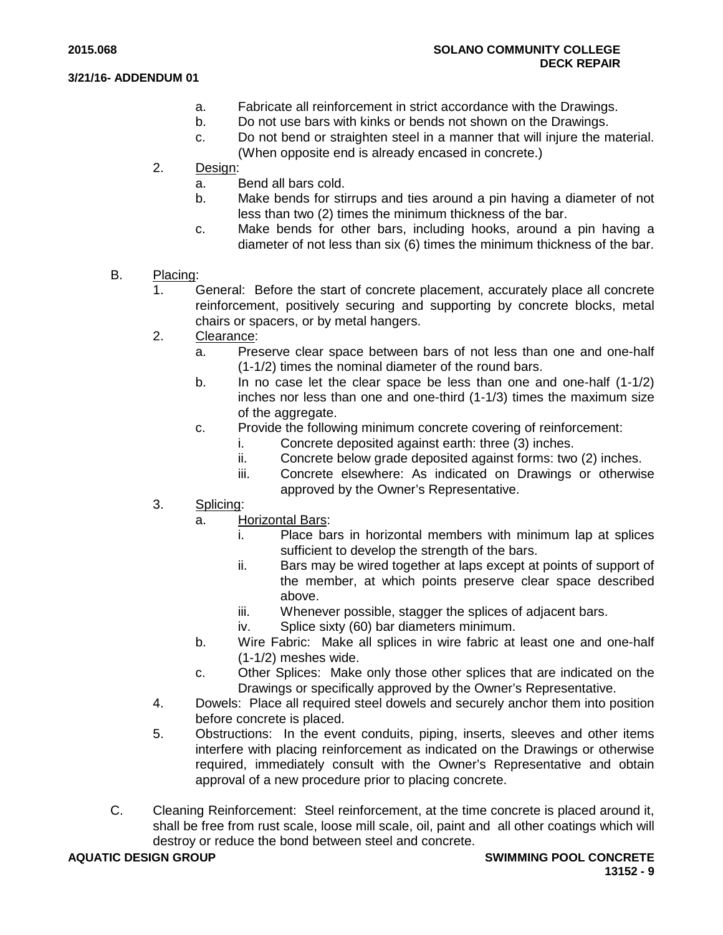- a. Fabricate all reinforcement in strict accordance with the Drawings.
- b. Do not use bars with kinks or bends not shown on the Drawings.
- c. Do not bend or straighten steel in a manner that will injure the material. (When opposite end is already encased in concrete.)
- 2. Design:
	- a. Bend all bars cold.
	- b. Make bends for stirrups and ties around a pin having a diameter of not less than two (2) times the minimum thickness of the bar.
	- c. Make bends for other bars, including hooks, around a pin having a diameter of not less than six (6) times the minimum thickness of the bar.
- B. Placing:
	- 1. General: Before the start of concrete placement, accurately place all concrete reinforcement, positively securing and supporting by concrete blocks, metal chairs or spacers, or by metal hangers.
	- 2. Clearance:
		- a. Preserve clear space between bars of not less than one and one-half (1-1/2) times the nominal diameter of the round bars.
		- b. In no case let the clear space be less than one and one-half (1-1/2) inches nor less than one and one-third (1-1/3) times the maximum size of the aggregate.
		- c. Provide the following minimum concrete covering of reinforcement:
			- i. Concrete deposited against earth: three (3) inches.
			- ii. Concrete below grade deposited against forms: two (2) inches.
			- iii. Concrete elsewhere: As indicated on Drawings or otherwise approved by the Owner's Representative.
	- 3. Splicing:
		- a. Horizontal Bars:
			- i. Place bars in horizontal members with minimum lap at splices sufficient to develop the strength of the bars.
			- ii. Bars may be wired together at laps except at points of support of the member, at which points preserve clear space described above.
			- iii. Whenever possible, stagger the splices of adjacent bars.
			- iv. Splice sixty (60) bar diameters minimum.
		- b. Wire Fabric: Make all splices in wire fabric at least one and one-half (1-1/2) meshes wide.
		- c. Other Splices: Make only those other splices that are indicated on the Drawings or specifically approved by the Owner's Representative.
	- 4. Dowels: Place all required steel dowels and securely anchor them into position before concrete is placed.
	- 5. Obstructions: In the event conduits, piping, inserts, sleeves and other items interfere with placing reinforcement as indicated on the Drawings or otherwise required, immediately consult with the Owner's Representative and obtain approval of a new procedure prior to placing concrete.
- C. Cleaning Reinforcement: Steel reinforcement, at the time concrete is placed around it, shall be free from rust scale, loose mill scale, oil, paint and all other coatings which will destroy or reduce the bond between steel and concrete.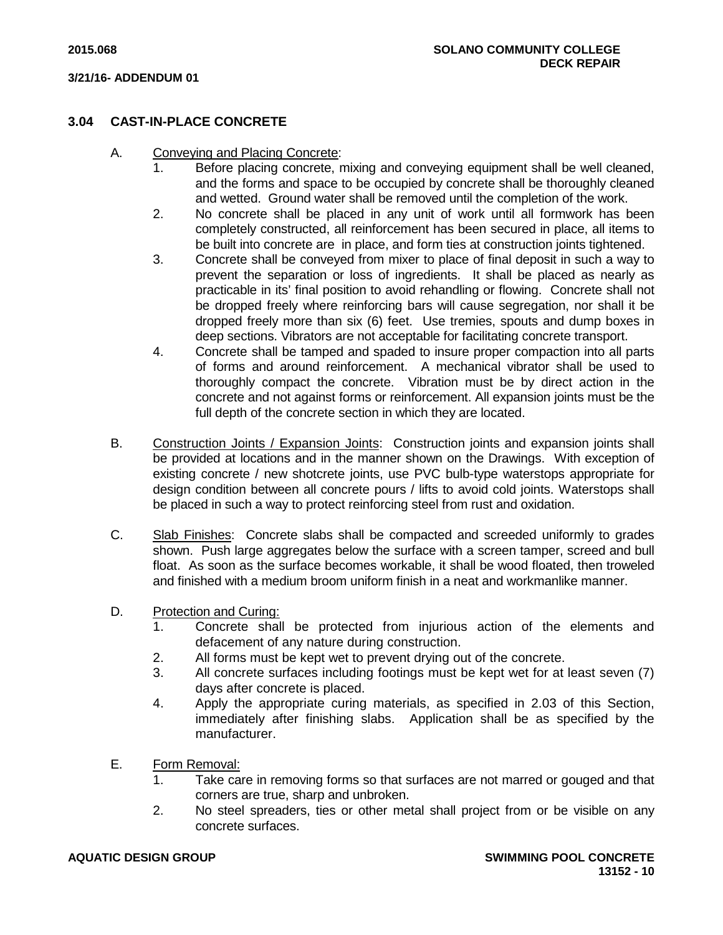# **3.04 CAST-IN-PLACE CONCRETE**

- A. Conveying and Placing Concrete:
	- 1. Before placing concrete, mixing and conveying equipment shall be well cleaned, and the forms and space to be occupied by concrete shall be thoroughly cleaned and wetted. Ground water shall be removed until the completion of the work.
	- 2. No concrete shall be placed in any unit of work until all formwork has been completely constructed, all reinforcement has been secured in place, all items to be built into concrete are in place, and form ties at construction joints tightened.
	- 3. Concrete shall be conveyed from mixer to place of final deposit in such a way to prevent the separation or loss of ingredients. It shall be placed as nearly as practicable in its' final position to avoid rehandling or flowing. Concrete shall not be dropped freely where reinforcing bars will cause segregation, nor shall it be dropped freely more than six (6) feet. Use tremies, spouts and dump boxes in deep sections. Vibrators are not acceptable for facilitating concrete transport.
	- 4. Concrete shall be tamped and spaded to insure proper compaction into all parts of forms and around reinforcement. A mechanical vibrator shall be used to thoroughly compact the concrete. Vibration must be by direct action in the concrete and not against forms or reinforcement. All expansion joints must be the full depth of the concrete section in which they are located.
- B. Construction Joints / Expansion Joints: Construction joints and expansion joints shall be provided at locations and in the manner shown on the Drawings. With exception of existing concrete / new shotcrete joints, use PVC bulb-type waterstops appropriate for design condition between all concrete pours / lifts to avoid cold joints. Waterstops shall be placed in such a way to protect reinforcing steel from rust and oxidation.
- C. Slab Finishes: Concrete slabs shall be compacted and screeded uniformly to grades shown. Push large aggregates below the surface with a screen tamper, screed and bull float. As soon as the surface becomes workable, it shall be wood floated, then troweled and finished with a medium broom uniform finish in a neat and workmanlike manner.
- D. Protection and Curing:
	- 1. Concrete shall be protected from injurious action of the elements and defacement of any nature during construction.
	- 2. All forms must be kept wet to prevent drying out of the concrete.
	- 3. All concrete surfaces including footings must be kept wet for at least seven (7) days after concrete is placed.
	- 4. Apply the appropriate curing materials, as specified in 2.03 of this Section, immediately after finishing slabs. Application shall be as specified by the manufacturer.
- E. Form Removal:
	- 1. Take care in removing forms so that surfaces are not marred or gouged and that corners are true, sharp and unbroken.
	- 2. No steel spreaders, ties or other metal shall project from or be visible on any concrete surfaces.